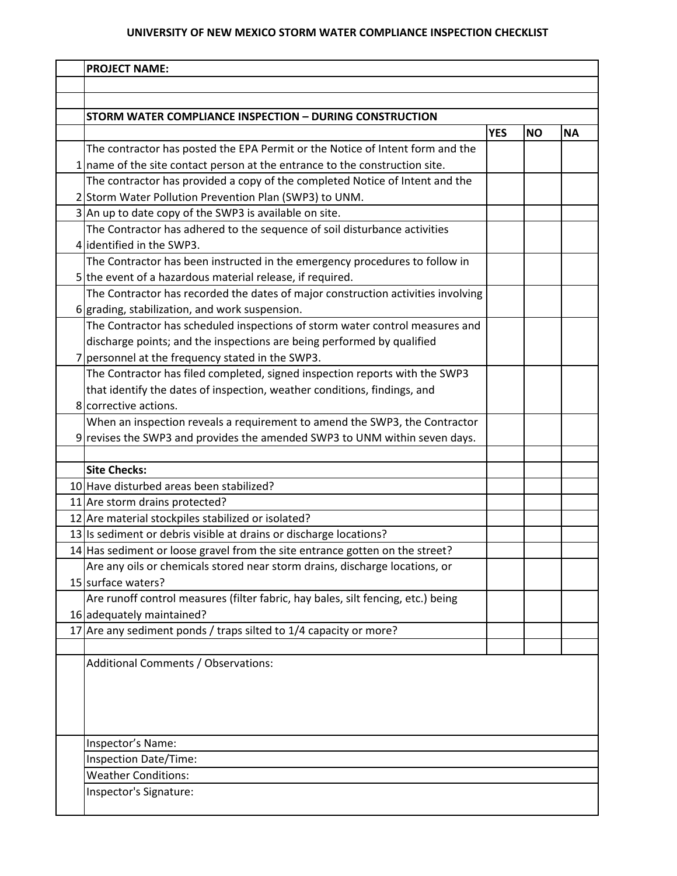## **UNIVERSITY OF NEW MEXICO STORM WATER COMPLIANCE INSPECTION CHECKLIST**

| <b>PROJECT NAME:</b>                                                                             |            |           |           |
|--------------------------------------------------------------------------------------------------|------------|-----------|-----------|
|                                                                                                  |            |           |           |
|                                                                                                  |            |           |           |
| STORM WATER COMPLIANCE INSPECTION - DURING CONSTRUCTION                                          |            |           |           |
|                                                                                                  | <b>YES</b> | <b>NO</b> | <b>NA</b> |
| The contractor has posted the EPA Permit or the Notice of Intent form and the                    |            |           |           |
| name of the site contact person at the entrance to the construction site.                        |            |           |           |
| The contractor has provided a copy of the completed Notice of Intent and the                     |            |           |           |
| 2 Storm Water Pollution Prevention Plan (SWP3) to UNM.                                           |            |           |           |
| 3 An up to date copy of the SWP3 is available on site.                                           |            |           |           |
| The Contractor has adhered to the sequence of soil disturbance activities                        |            |           |           |
| 4 identified in the SWP3.                                                                        |            |           |           |
| The Contractor has been instructed in the emergency procedures to follow in                      |            |           |           |
| 5 the event of a hazardous material release, if required.                                        |            |           |           |
| The Contractor has recorded the dates of major construction activities involving                 |            |           |           |
| $6$ grading, stabilization, and work suspension.                                                 |            |           |           |
| The Contractor has scheduled inspections of storm water control measures and                     |            |           |           |
| discharge points; and the inspections are being performed by qualified                           |            |           |           |
| personnel at the frequency stated in the SWP3.                                                   |            |           |           |
| The Contractor has filed completed, signed inspection reports with the SWP3                      |            |           |           |
| that identify the dates of inspection, weather conditions, findings, and                         |            |           |           |
| 8 corrective actions.                                                                            |            |           |           |
| When an inspection reveals a requirement to amend the SWP3, the Contractor                       |            |           |           |
| 9 revises the SWP3 and provides the amended SWP3 to UNM within seven days.                       |            |           |           |
|                                                                                                  |            |           |           |
| <b>Site Checks:</b>                                                                              |            |           |           |
| 10 Have disturbed areas been stabilized?                                                         |            |           |           |
| 11 Are storm drains protected?                                                                   |            |           |           |
| 12 Are material stockpiles stabilized or isolated?                                               |            |           |           |
| 13 Is sediment or debris visible at drains or discharge locations?                               |            |           |           |
| 14 Has sediment or loose gravel from the site entrance gotten on the street?                     |            |           |           |
| Are any oils or chemicals stored near storm drains, discharge locations, or                      |            |           |           |
| 15 surface waters?                                                                               |            |           |           |
| Are runoff control measures (filter fabric, hay bales, silt fencing, etc.) being                 |            |           |           |
| 16 adequately maintained?<br>17 Are any sediment ponds / traps silted to $1/4$ capacity or more? |            |           |           |
|                                                                                                  |            |           |           |
| Additional Comments / Observations:                                                              |            |           |           |
|                                                                                                  |            |           |           |
|                                                                                                  |            |           |           |
|                                                                                                  |            |           |           |
|                                                                                                  |            |           |           |
| Inspector's Name:                                                                                |            |           |           |
| Inspection Date/Time:                                                                            |            |           |           |
| <b>Weather Conditions:</b>                                                                       |            |           |           |
| Inspector's Signature:                                                                           |            |           |           |
|                                                                                                  |            |           |           |
|                                                                                                  |            |           |           |